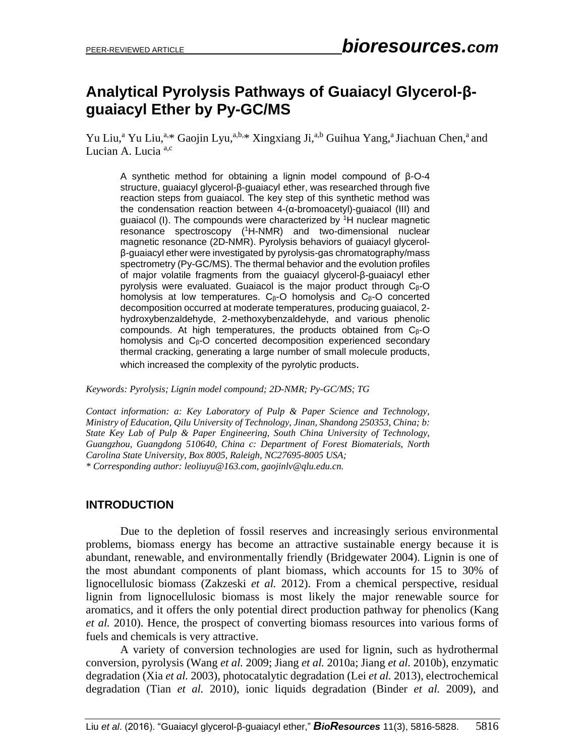# **Analytical Pyrolysis Pathways of Guaiacyl Glycerol-βguaiacyl Ether by Py-GC/MS**

Yu Liu,<sup>a</sup> Yu Liu,<sup>a,\*</sup> Gaojin Lyu,<sup>a,b,\*</sup> Xingxiang Ji,<sup>a,b</sup> Guihua Yang,<sup>a</sup> Jiachuan Chen,<sup>a</sup> and Lucian A. Lucia<sup>a,c</sup>

A synthetic method for obtaining a lignin model compound of β-O-4 structure, guaiacyl glycerol-β-guaiacyl ether, was researched through five reaction steps from guaiacol. The key step of this synthetic method was the condensation reaction between 4-(α-bromoacetyl)-guaiacol (III) and guaiacol (I). The compounds were characterized by <sup>1</sup>H nuclear magnetic resonance spectroscopy ( <sup>1</sup>H-NMR) and two-dimensional nuclear magnetic resonance (2D-NMR). Pyrolysis behaviors of guaiacyl glycerolβ-guaiacyl ether were investigated by pyrolysis-gas chromatography/mass spectrometry (Py-GC/MS). The thermal behavior and the evolution profiles of major volatile fragments from the guaiacyl glycerol-β-guaiacyl ether pyrolysis were evaluated. Guaiacol is the major product through C<sub>β</sub>-O homolysis at low temperatures.  $C_\beta$ -O homolysis and  $C_\beta$ -O concerted decomposition occurred at moderate temperatures, producing guaiacol, 2 hydroxybenzaldehyde, 2-methoxybenzaldehyde, and various phenolic compounds. At high temperatures, the products obtained from Cβ-O homolysis and Cβ-O concerted decomposition experienced secondary thermal cracking, generating a large number of small molecule products, which increased the complexity of the pyrolytic products.

*Keywords: Pyrolysis; Lignin model compound; 2D-NMR; Py-GC/MS; TG*

*Contact information: a: Key Laboratory of Pulp & Paper Science and Technology, Ministry of Education, Qilu University of Technology, Jinan, Shandong 250353, China; b: State Key Lab of Pulp & Paper Engineering, South China University of Technology, Guangzhou, Guangdong 510640, China c: Department of Forest Biomaterials, North Carolina State University, Box 8005, Raleigh, NC27695-8005 USA; \* Corresponding author: [leoliuyu@163.com,](mailto:leoliuyu@163.com) gaojinlv@qlu.edu.cn.*

#### **INTRODUCTION**

Due to the depletion of fossil reserves and increasingly serious environmental problems, biomass energy has become an attractive sustainable energy because it is abundant, renewable, and environmentally friendly (Bridgewater 2004). Lignin is one of the most abundant components of plant biomass, which accounts for 15 to 30% of lignocellulosic biomass (Zakzeski *et al.* 2012). From a chemical perspective, residual lignin from lignocellulosic biomass is most likely the major renewable source for aromatics, and it offers the only potential direct production pathway for phenolics (Kang *et al.* 2010). Hence, the prospect of converting biomass resources into various forms of fuels and chemicals is very attractive.

A variety of conversion technologies are used for lignin, such as hydrothermal conversion, pyrolysis (Wang *et al.* 2009; Jiang *et al.* 2010a; Jiang *et al.* 2010b), enzymatic degradation (Xia *et al.* 2003), photocatalytic degradation (Lei *et al.* 2013), electrochemical degradation (Tian *et al.* 2010), ionic liquids degradation (Binder *et al.* 2009), and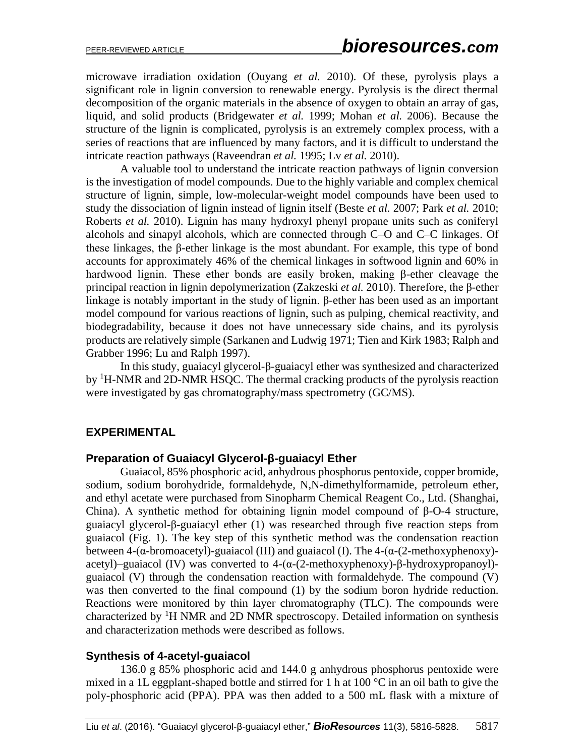microwave irradiation oxidation (Ouyang *et al.* 2010)*.* Of these, pyrolysis plays a significant role in lignin conversion to renewable energy. Pyrolysis is the direct thermal decomposition of the organic materials in the absence of oxygen to obtain an array of gas, liquid, and solid products (Bridgewater *et al.* 1999; Mohan *et al.* 2006). Because the structure of the lignin is complicated, pyrolysis is an extremely complex process, with a series of reactions that are influenced by many factors, and it is difficult to understand the intricate reaction pathways (Raveendran *et al.* 1995; Lv *et al.* 2010).

A valuable tool to understand the intricate reaction pathways of lignin conversion is the investigation of model compounds. Due to the highly variable and complex chemical structure of lignin, simple, low-molecular-weight model compounds have been used to study the dissociation of lignin instead of lignin itself (Beste *et al.* 2007; Park *et al.* 2010; Roberts *et al.* 2010). Lignin has many hydroxyl phenyl propane units such as coniferyl alcohols and sinapyl alcohols, which are connected through C–O and C–C linkages. Of these linkages, the β-ether linkage is the most abundant. For example, this type of bond accounts for approximately 46% of the chemical linkages in softwood lignin and 60% in hardwood lignin. These ether bonds are easily broken, making β-ether cleavage the principal reaction in lignin depolymerization (Zakzeski *et al.* 2010). Therefore, the β-ether linkage is notably important in the study of lignin. β-ether has been used as an important model compound for various reactions of lignin, such as pulping, chemical reactivity, and biodegradability, because it does not have unnecessary side chains, and its pyrolysis products are relatively simple (Sarkanen and Ludwig 1971; Tien and Kirk 1983; Ralph and Grabber 1996; Lu and Ralph 1997).

In this study, guaiacyl glycerol-β-guaiacyl ether was synthesized and characterized by <sup>1</sup>H-NMR and 2D-NMR HSQC. The thermal cracking products of the pyrolysis reaction were investigated by gas chromatography/mass spectrometry (GC/MS).

## **EXPERIMENTAL**

#### **Preparation of Guaiacyl Glycerol-β-guaiacyl Ether**

Guaiacol, 85% phosphoric acid, anhydrous phosphorus pentoxide, copper bromide, sodium, sodium borohydride, formaldehyde, N,N-dimethylformamide, petroleum ether, and ethyl acetate were purchased from Sinopharm Chemical Reagent Co., Ltd. (Shanghai, China). A synthetic method for obtaining lignin model compound of β-O-4 structure, guaiacyl glycerol-β-guaiacyl ether (1) was researched through five reaction steps from guaiacol (Fig. 1). The key step of this synthetic method was the condensation reaction between 4-( $\alpha$ -bromoacetyl)-guaiacol (III) and guaiacol (I). The 4-( $\alpha$ -(2-methoxyphenoxy)acetyl)–guaiacol (IV) was converted to 4-(α-(2-methoxyphenoxy)-β-hydroxypropanoyl) guaiacol (V) through the condensation reaction with formaldehyde. The compound (V) was then converted to the final compound (1) by the sodium boron hydride reduction. Reactions were monitored by thin layer chromatography (TLC). The compounds were characterized by  ${}^{1}H$  NMR and 2D NMR spectroscopy. Detailed information on synthesis and characterization methods were described as follows.

#### **Synthesis of 4-acetyl-guaiacol**

136.0 g 85% phosphoric acid and 144.0 g anhydrous phosphorus pentoxide were mixed in a 1L eggplant-shaped bottle and stirred for 1 h at 100 °C in an oil bath to give the poly-phosphoric acid (PPA). PPA was then added to a 500 mL flask with a mixture of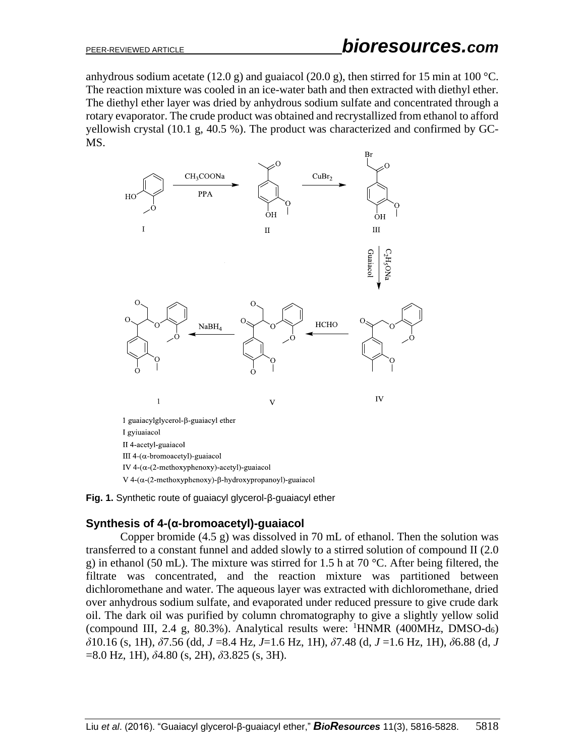anhydrous sodium acetate (12.0 g) and guaiacol (20.0 g), then stirred for 15 min at 100 °C. The reaction mixture was cooled in an ice-water bath and then extracted with diethyl ether. The diethyl ether layer was dried by anhydrous sodium sulfate and concentrated through a rotary evaporator. The crude product was obtained and recrystallized from ethanol to afford yellowish crystal (10.1 g, 40.5 %). The product was characterized and confirmed by GC-MS.



**Fig. 1.** Synthetic route of guaiacyl glycerol-β-guaiacyl ether

#### **Synthesis of 4-(α-bromoacetyl)-guaiacol**

Copper bromide (4.5 g) was dissolved in 70 mL of ethanol. Then the solution was transferred to a constant funnel and added slowly to a stirred solution of compound II (2.0 g) in ethanol (50 mL). The mixture was stirred for 1.5 h at 70 °C. After being filtered, the filtrate was concentrated, and the reaction mixture was partitioned between dichloromethane and water. The aqueous layer was extracted with dichloromethane, dried over anhydrous sodium sulfate, and evaporated under reduced pressure to give crude dark oil. The dark oil was purified by column chromatography to give a slightly yellow solid (compound III, 2.4 g, 80.3%). Analytical results were:  $^1$ HNMR (400MHz, DMSO-d<sub>6</sub>) *δ*10.16 (s, 1H), *δ*7.56 (dd, *J* =8.4 Hz, *J*=1.6 Hz, 1H), *δ*7.48 (d, *J* =1.6 Hz, 1H), *δ*6.88 (d, *J*  =8.0 Hz, 1H), *δ*4.80 (s, 2H), *δ*3.825 (s, 3H).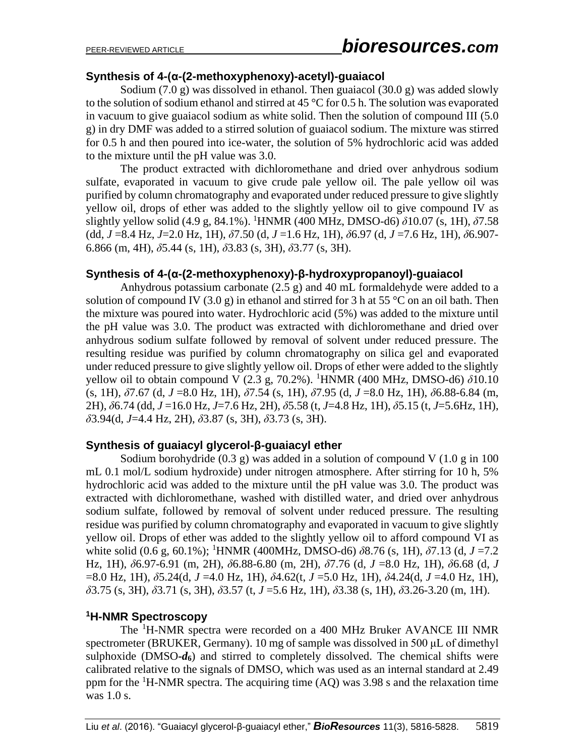## **Synthesis of 4-(α-(2-methoxyphenoxy)-acetyl)-guaiacol**

Sodium (7.0 g) was dissolved in ethanol. Then guaiacol (30.0 g) was added slowly to the solution of sodium ethanol and stirred at 45 °C for 0.5 h. The solution was evaporated in vacuum to give guaiacol sodium as white solid. Then the solution of compound III (5.0 g) in dry DMF was added to a stirred solution of guaiacol sodium. The mixture was stirred for 0.5 h and then poured into ice-water, the solution of 5% hydrochloric acid was added to the mixture until the pH value was 3.0.

The product extracted with dichloromethane and dried over anhydrous sodium sulfate, evaporated in vacuum to give crude pale yellow oil. The pale yellow oil was purified by column chromatography and evaporated under reduced pressure to give slightly yellow oil, drops of ether was added to the slightly yellow oil to give compound IV as slightly yellow solid (4.9 g, 84.1%). <sup>1</sup>HNMR (400 MHz, DMSO-d6) *δ*10.07 (s, 1H), *δ*7.58 (dd, *J* =8.4 Hz, *J*=2.0 Hz, 1H), *δ*7.50 (d, *J* =1.6 Hz, 1H), *δ*6.97 (d, *J* =7.6 Hz, 1H), *δ*6.907- 6.866 (m, 4H), *δ*5.44 (s, 1H), *δ*3.83 (s, 3H), *δ*3.77 (s, 3H).

## **Synthesis of 4-(α-(2-methoxyphenoxy)-β-hydroxypropanoyl)-guaiacol**

Anhydrous potassium carbonate (2.5 g) and 40 mL formaldehyde were added to a solution of compound IV (3.0 g) in ethanol and stirred for 3 h at 55 °C on an oil bath. Then the mixture was poured into water. Hydrochloric acid (5%) was added to the mixture until the pH value was 3.0. The product was extracted with dichloromethane and dried over anhydrous sodium sulfate followed by removal of solvent under reduced pressure. The resulting residue was purified by column chromatography on silica gel and evaporated under reduced pressure to give slightly yellow oil. Drops of ether were added to the slightly yellow oil to obtain compound V (2.3 g, 70.2%). <sup>1</sup>HNMR (400 MHz, DMSO-d6) *δ*10.10 (s, 1H), *δ*7.67 (d, *J* =8.0 Hz, 1H), *δ*7.54 (s, 1H), *δ*7.95 (d, *J* =8.0 Hz, 1H), *δ*6.88-6.84 (m, 2H), *δ*6.74 (dd, *J* =16.0 Hz, *J*=7.6 Hz, 2H), *δ*5.58 (t, *J*=4.8 Hz, 1H), *δ*5.15 (t, *J*=5.6Hz, 1H), *δ*3.94(d, *J*=4.4 Hz, 2H), *δ*3.87 (s, 3H), *δ*3.73 (s, 3H).

## **Synthesis of guaiacyl glycerol-β-guaiacyl ether**

Sodium borohydride  $(0.3 \text{ g})$  was added in a solution of compound V  $(1.0 \text{ g})$  in 100 mL 0.1 mol/L sodium hydroxide) under nitrogen atmosphere. After stirring for 10 h, 5% hydrochloric acid was added to the mixture until the pH value was 3.0. The product was extracted with dichloromethane, washed with distilled water, and dried over anhydrous sodium sulfate, followed by removal of solvent under reduced pressure. The resulting residue was purified by column chromatography and evaporated in vacuum to give slightly yellow oil. Drops of ether was added to the slightly yellow oil to afford compound VI as white solid (0.6 g, 60.1%); <sup>1</sup>HNMR (400MHz, DMSO-d6) *δ*8.76 (s, 1H), *δ*7.13 (d, *J* =7.2 Hz, 1H), *δ*6.97-6.91 (m, 2H), *δ*6.88-6.80 (m, 2H), *δ*7.76 (d, *J* =8.0 Hz, 1H), *δ*6.68 (d, *J*  =8.0 Hz, 1H), *δ*5.24(d, *J* =4.0 Hz, 1H), *δ*4.62(t, *J* =5.0 Hz, 1H), *δ*4.24(d, *J* =4.0 Hz, 1H), *δ*3.75 (s, 3H), *δ*3.71 (s, 3H), *δ*3.57 (t, *J* =5.6 Hz, 1H), *δ*3.38 (s, 1H), *δ*3.26-3.20 (m, 1H).

#### **<sup>1</sup>H-NMR Spectroscopy**

The <sup>1</sup>H-NMR spectra were recorded on a 400 MHz Bruker AVANCE III NMR spectrometer (BRUKER, Germany). 10 mg of sample was dissolved in 500 μL of dimethyl sulphoxide (DMSO**-***d***6**) and stirred to completely dissolved. The chemical shifts were calibrated relative to the signals of DMSO, which was used as an internal standard at 2.49 ppm for the  ${}^{1}H$ -NMR spectra. The acquiring time (AQ) was 3.98 s and the relaxation time was 1.0 s.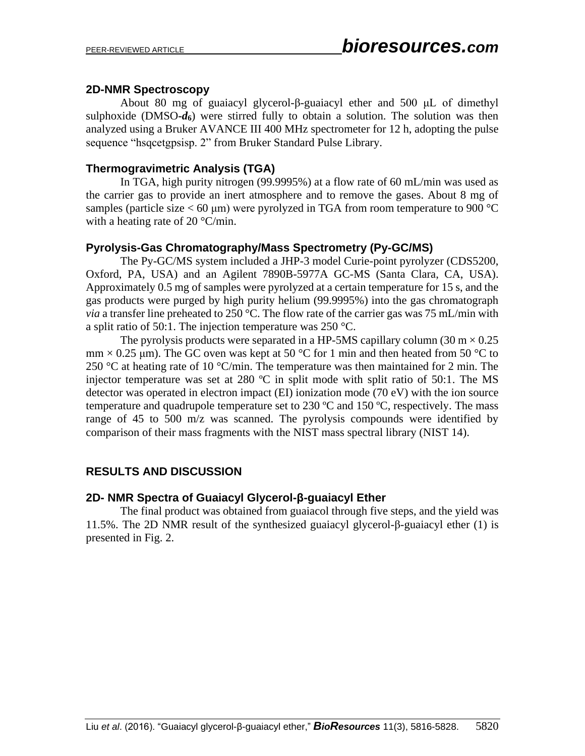## **2D-NMR Spectroscopy**

About 80 mg of guaiacyl glycerol-β-guaiacyl ether and 500 μL of dimethyl sulphoxide (DMSO**-***d***6**) were stirred fully to obtain a solution. The solution was then analyzed using a Bruker AVANCE III 400 MHz spectrometer for 12 h, adopting the pulse sequence "hsqcetgpsisp. 2" from Bruker Standard Pulse Library.

## **Thermogravimetric Analysis (TGA)**

In TGA, high purity nitrogen (99.9995%) at a flow rate of 60 mL/min was used as the carrier gas to provide an inert atmosphere and to remove the gases. About 8 mg of samples (particle size  $< 60 \mu m$ ) were pyrolyzed in TGA from room temperature to 900 °C with a heating rate of 20 °C/min.

# **Pyrolysis-Gas Chromatography/Mass Spectrometry (Py-GC/MS)**

The Py-GC/MS system included a JHP-3 model Curie-point pyrolyzer (CDS5200, Oxford, PA, USA) and an Agilent 7890B-5977A GC-MS (Santa Clara, CA, USA). Approximately 0.5 mg of samples were pyrolyzed at a certain temperature for 15 s, and the gas products were purged by high purity helium (99.9995%) into the gas chromatograph *via* a transfer line preheated to 250 °C. The flow rate of the carrier gas was 75 mL/min with a split ratio of 50:1. The injection temperature was 250 °C.

The pyrolysis products were separated in a HP-5MS capillary column (30 m  $\times$  0.25  $mm \times 0.25$  µm). The GC oven was kept at 50 °C for 1 min and then heated from 50 °C to 250 °C at heating rate of 10 °C/min. The temperature was then maintained for 2 min. The injector temperature was set at 280  $^{\circ}$ C in split mode with split ratio of 50:1. The MS detector was operated in electron impact (EI) ionization mode (70 eV) with the ion source temperature and quadrupole temperature set to  $230 \text{ °C}$  and  $150 \text{ °C}$ , respectively. The mass range of 45 to 500 m/z was scanned. The pyrolysis compounds were identified by comparison of their mass fragments with the NIST mass spectral library (NIST 14).

# **RESULTS AND DISCUSSION**

## **2D- NMR Spectra of Guaiacyl Glycerol-β-guaiacyl Ether**

The final product was obtained from guaiacol through five steps, and the yield was 11.5%. The 2D NMR result of the synthesized guaiacyl glycerol-β-guaiacyl ether (1) is presented in Fig. 2.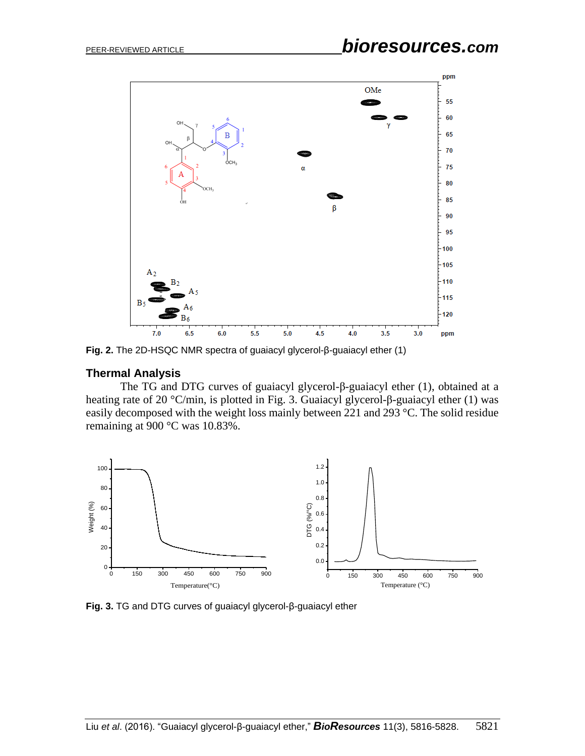

**Fig. 2.** The 2D-HSQC NMR spectra of guaiacyl glycerol-β-guaiacyl ether (1)

#### **Thermal Analysis**

The TG and DTG curves of guaiacyl glycerol-β-guaiacyl ether (1), obtained at a heating rate of 20 °C/min, is plotted in Fig. 3. Guaiacyl glycerol-β-guaiacyl ether (1) was easily decomposed with the weight loss mainly between 221 and 293 °C. The solid residue remaining at 900 °C was 10.83%.



**Fig. 3.** TG and DTG curves of guaiacyl glycerol-β-guaiacyl ether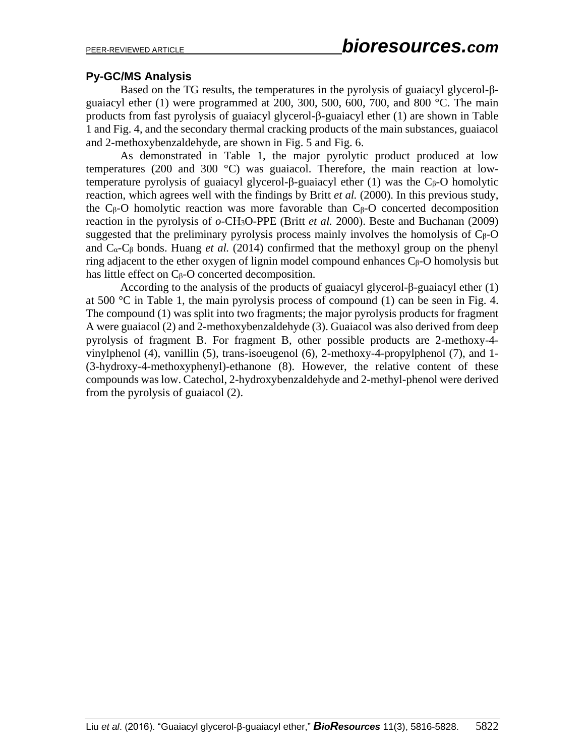# **Py-GC/MS Analysis**

Based on the TG results, the temperatures in the pyrolysis of guaiacyl glycerol-βguaiacyl ether (1) were programmed at 200, 300, 500, 600, 700, and 800 °C. The main products from fast pyrolysis of guaiacyl glycerol-β-guaiacyl ether (1) are shown in Table 1 and Fig. 4, and the secondary thermal cracking products of the main substances, guaiacol and 2-methoxybenzaldehyde, are shown in Fig. 5 and Fig. 6.

As demonstrated in Table 1, the major pyrolytic product produced at low temperatures (200 and 300 °C) was guaiacol. Therefore, the main reaction at lowtemperature pyrolysis of guaiacyl glycerol-β-guaiacyl ether (1) was the Cβ-O homolytic reaction, which agrees well with the findings by Britt *et al.* (2000). In this previous study, the  $C_\beta$ -O homolytic reaction was more favorable than  $C_\beta$ -O concerted decomposition reaction in the pyrolysis of *o*-CH3O-PPE (Britt *et al.* 2000). Beste and Buchanan (2009) suggested that the preliminary pyrolysis process mainly involves the homolysis of  $C_{\beta}$ -O and Cα-C<sup>β</sup> bonds. Huang *et al.* (2014) confirmed that the methoxyl group on the phenyl ring adjacent to the ether oxygen of lignin model compound enhances  $C_\beta$ -O homolysis but has little effect on Cβ-O concerted decomposition.

According to the analysis of the products of guaiacyl glycerol-β-guaiacyl ether (1) at 500 °C in Table 1, the main pyrolysis process of compound (1) can be seen in Fig. 4. The compound (1) was split into two fragments; the major pyrolysis products for fragment A were guaiacol (2) and 2-methoxybenzaldehyde (3). Guaiacol was also derived from deep pyrolysis of fragment B. For fragment B, other possible products are 2-methoxy-4 vinylphenol (4), vanillin (5), trans-isoeugenol (6), 2-methoxy-4-propylphenol (7), and 1- (3-hydroxy-4-methoxyphenyl)-ethanone (8). However, the relative content of these compounds was low. Catechol, 2-hydroxybenzaldehyde and 2-methyl-phenol were derived from the pyrolysis of guaiacol (2).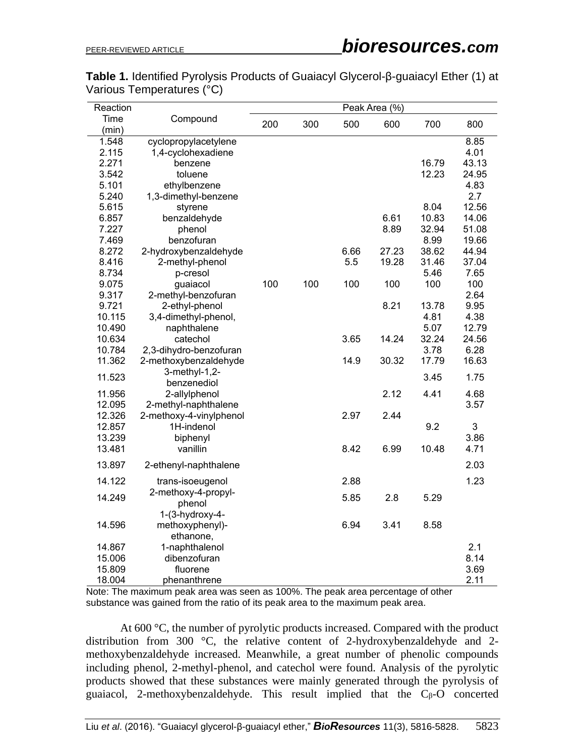| <b>Table 1.</b> Identified Pyrolysis Products of Guaiacyl Glycerol-β-guaiacyl Ether (1) at |  |
|--------------------------------------------------------------------------------------------|--|
| Various Temperatures (°C)                                                                  |  |

| Reaction |                                | Peak Area (%) |     |      |       |       |       |  |  |
|----------|--------------------------------|---------------|-----|------|-------|-------|-------|--|--|
| Time     | Compound                       | 200           | 300 | 500  | 600   | 700   | 800   |  |  |
| (min)    |                                |               |     |      |       |       |       |  |  |
| 1.548    | cyclopropylacetylene           |               |     |      |       |       | 8.85  |  |  |
| 2.115    | 1,4-cyclohexadiene             |               |     |      |       |       | 4.01  |  |  |
| 2.271    | benzene                        |               |     |      |       | 16.79 | 43.13 |  |  |
| 3.542    | toluene                        |               |     |      |       | 12.23 | 24.95 |  |  |
| 5.101    | ethylbenzene                   |               |     |      |       |       | 4.83  |  |  |
| 5.240    | 1,3-dimethyl-benzene           |               |     |      |       |       | 2.7   |  |  |
| 5.615    | styrene                        |               |     |      |       | 8.04  | 12.56 |  |  |
| 6.857    | benzaldehyde                   |               |     |      | 6.61  | 10.83 | 14.06 |  |  |
| 7.227    | phenol                         |               |     |      | 8.89  | 32.94 | 51.08 |  |  |
| 7.469    | benzofuran                     |               |     |      |       | 8.99  | 19.66 |  |  |
| 8.272    | 2-hydroxybenzaldehyde          |               |     | 6.66 | 27.23 | 38.62 | 44.94 |  |  |
| 8.416    | 2-methyl-phenol                |               |     | 5.5  | 19.28 | 31.46 | 37.04 |  |  |
| 8.734    | p-cresol                       |               |     |      |       | 5.46  | 7.65  |  |  |
| 9.075    | guaiacol                       | 100           | 100 | 100  | 100   | 100   | 100   |  |  |
| 9.317    | 2-methyl-benzofuran            |               |     |      |       |       | 2.64  |  |  |
| 9.721    | 2-ethyl-phenol                 |               |     |      | 8.21  | 13.78 | 9.95  |  |  |
| 10.115   | 3,4-dimethyl-phenol,           |               |     |      |       | 4.81  | 4.38  |  |  |
| 10.490   | naphthalene                    |               |     |      |       | 5.07  | 12.79 |  |  |
| 10.634   | catechol                       |               |     | 3.65 | 14.24 | 32.24 | 24.56 |  |  |
| 10.784   | 2,3-dihydro-benzofuran         |               |     |      |       | 3.78  | 6.28  |  |  |
| 11.362   | 2-methoxybenzaldehyde          |               |     | 14.9 | 30.32 | 17.79 | 16.63 |  |  |
| 11.523   | 3-methyl-1,2-                  |               |     |      |       | 3.45  | 1.75  |  |  |
|          | benzenediol                    |               |     |      |       |       |       |  |  |
| 11.956   | 2-allylphenol                  |               |     |      | 2.12  | 4.41  | 4.68  |  |  |
| 12.095   | 2-methyl-naphthalene           |               |     |      |       |       | 3.57  |  |  |
| 12.326   | 2-methoxy-4-vinylphenol        |               |     | 2.97 | 2.44  |       |       |  |  |
| 12.857   | 1H-indenol                     |               |     |      |       | 9.2   | 3     |  |  |
| 13.239   | biphenyl                       |               |     |      |       |       | 3.86  |  |  |
| 13.481   | vanillin                       |               |     | 8.42 | 6.99  | 10.48 | 4.71  |  |  |
| 13.897   | 2-ethenyl-naphthalene          |               |     |      |       |       | 2.03  |  |  |
| 14.122   | trans-isoeugenol               |               |     | 2.88 |       |       | 1.23  |  |  |
| 14.249   | 2-methoxy-4-propyl-            |               |     | 5.85 | 2.8   | 5.29  |       |  |  |
|          | phenol                         |               |     |      |       |       |       |  |  |
| 14.596   | $1-(3-hydroxy-4-$              |               |     | 6.94 | 3.41  | 8.58  |       |  |  |
|          | methoxyphenyl)-                |               |     |      |       |       |       |  |  |
| 14.867   | ethanone,                      |               |     |      |       |       | 2.1   |  |  |
|          | 1-naphthalenol<br>dibenzofuran |               |     |      |       |       | 8.14  |  |  |
| 15.006   |                                |               |     |      |       |       | 3.69  |  |  |
| 15.809   | fluorene                       |               |     |      |       |       |       |  |  |
| 18.004   | phenanthrene                   |               |     |      |       |       | 2.11  |  |  |

Note: The maximum peak area was seen as 100%. The peak area percentage of other substance was gained from the ratio of its peak area to the maximum peak area.

At 600 °C, the number of pyrolytic products increased. Compared with the product distribution from 300 °C, the relative content of 2-hydroxybenzaldehyde and 2 methoxybenzaldehyde increased. Meanwhile, a great number of phenolic compounds including phenol, 2-methyl-phenol, and catechol were found. Analysis of the pyrolytic products showed that these substances were mainly generated through the pyrolysis of guaiacol, 2-methoxybenzaldehyde. This result implied that the  $C_\beta$ -O concerted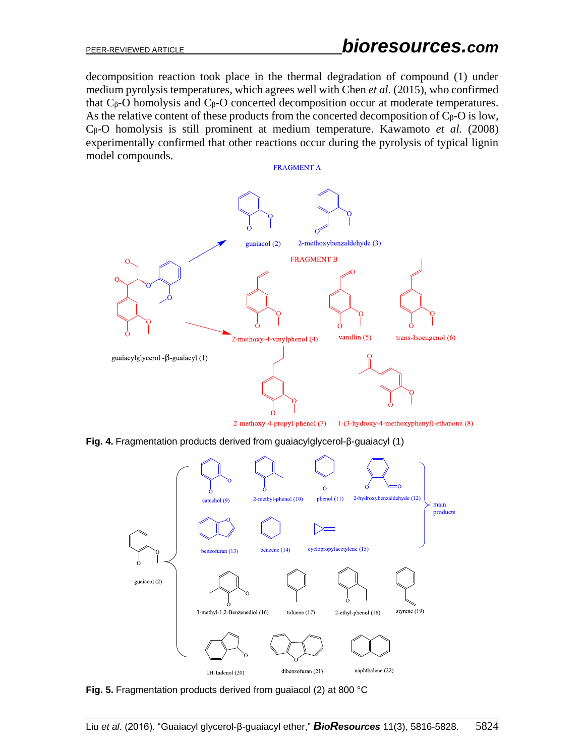decomposition reaction took place in the thermal degradation of compound (1) under medium pyrolysis temperatures, which agrees well with Chen *et al.* (2015), who confirmed that  $C<sub>β</sub>$ -O homolysis and  $C<sub>β</sub>$ -O concerted decomposition occur at moderate temperatures. As the relative content of these products from the concerted decomposition of  $C_{\beta}$ -O is low, Cβ-O homolysis is still prominent at medium temperature. Kawamoto *et al.* (2008) experimentally confirmed that other reactions occur during the pyrolysis of typical lignin model compounds.

**FRAGMENT A** 



2-methoxy-4-propyl-phenol (7) 1-(3-hydroxy-4-methoxyphenyl)-ethanone (8)

**Fig. 4.** Fragmentation products derived from guaiacylglycerol-β-guaiacyl (1)



**Fig. 5.** Fragmentation products derived from guaiacol (2) at 800 °C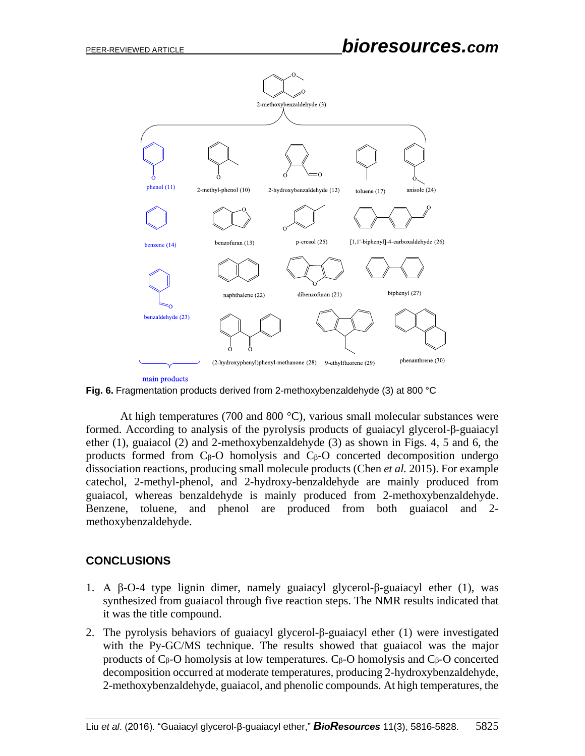

**Fig. 6.** Fragmentation products derived from 2-methoxybenzaldehyde (3) at 800 °C

At high temperatures (700 and 800  $^{\circ}$ C), various small molecular substances were formed. According to analysis of the pyrolysis products of guaiacyl glycerol-β-guaiacyl ether (1), guaiacol (2) and 2-methoxybenzaldehyde (3) as shown in Figs. 4, 5 and 6, the products formed from  $C_\beta$ -O homolysis and  $C_\beta$ -O concerted decomposition undergo dissociation reactions, producing small molecule products (Chen *et al.* 2015). For example catechol, 2-methyl-phenol, and 2-hydroxy-benzaldehyde are mainly produced from guaiacol, whereas benzaldehyde is mainly produced from 2-methoxybenzaldehyde. Benzene, toluene, and phenol are produced from both guaiacol and 2 methoxybenzaldehyde.

## **CONCLUSIONS**

- 1. A β-O-4 type lignin dimer, namely guaiacyl glycerol-β-guaiacyl ether (1), was synthesized from guaiacol through five reaction steps. The NMR results indicated that it was the title compound.
- 2. The pyrolysis behaviors of guaiacyl glycerol-β-guaiacyl ether (1) were investigated with the Py-GC/MS technique. The results showed that guaiacol was the major products of  $C_\beta$ -O homolysis at low temperatures.  $C_\beta$ -O homolysis and  $C_\beta$ -O concerted decomposition occurred at moderate temperatures, producing 2-hydroxybenzaldehyde, 2-methoxybenzaldehyde, guaiacol, and phenolic compounds. At high temperatures, the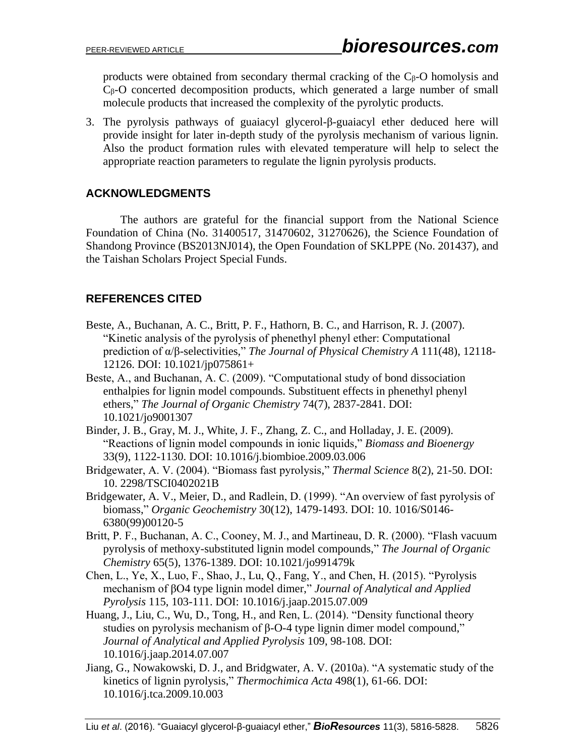products were obtained from secondary thermal cracking of the  $C_\beta$ -O homolysis and Cβ-O concerted decomposition products, which generated a large number of small molecule products that increased the complexity of the pyrolytic products.

3. The pyrolysis pathways of guaiacyl glycerol-β-guaiacyl ether deduced here will provide insight for later in-depth study of the pyrolysis mechanism of various lignin. Also the product formation rules with elevated temperature will help to select the appropriate reaction parameters to regulate the lignin pyrolysis products.

# **ACKNOWLEDGMENTS**

The authors are grateful for the financial support from the National Science Foundation of China (No. 31400517, 31470602, 31270626), the Science Foundation of Shandong Province (BS2013NJ014), the Open Foundation of SKLPPE (No. 201437), and the Taishan Scholars Project Special Funds.

# **REFERENCES CITED**

- Beste, A., Buchanan, A. C., Britt, P. F., Hathorn, B. C., and Harrison, R. J. (2007). "Kinetic analysis of the pyrolysis of phenethyl phenyl ether: Computational prediction of α/β-selectivities," *The Journal of Physical Chemistry A* 111(48), 12118- 12126. DOI: 10.1021/jp075861+
- Beste, A., and Buchanan, A. C. (2009). "Computational study of bond dissociation enthalpies for lignin model compounds. Substituent effects in phenethyl phenyl ethers," *The Journal of Organic Chemistry* 74(7), 2837-2841. DOI: 10.1021/jo9001307
- Binder, J. B., Gray, M. J., White, J. F., Zhang, Z. C., and Holladay, J. E. (2009). "Reactions of lignin model compounds in ionic liquids," *Biomass and Bioenergy* 33(9), 1122-1130. DOI: 10.1016/j.biombioe.2009.03.006
- Bridgewater, A. V. (2004). "Biomass fast pyrolysis," *Thermal Science* 8(2), 21-50. DOI: 10. 2298/TSCI0402021B
- Bridgewater, A. V., Meier, D., and Radlein, D. (1999). "An overview of fast pyrolysis of biomass," *Organic Geochemistry* 30(12), 1479-1493. DOI: 10. 1016/S0146- 6380(99)00120-5
- Britt, P. F., Buchanan, A. C., Cooney, M. J., and Martineau, D. R. (2000). "Flash vacuum pyrolysis of methoxy-substituted lignin model compounds," *The Journal of Organic Chemistry* 65(5), 1376-1389. DOI: 10.1021/jo991479k
- Chen, L., Ye, X., Luo, F., Shao, J., Lu, Q., Fang, Y., and Chen, H. (2015). "Pyrolysis mechanism of βO4 type lignin model dimer," *Journal of Analytical and Applied Pyrolysis* 115, 103-111. DOI: 10.1016/j.jaap.2015.07.009
- Huang, J., Liu, C., Wu, D., Tong, H., and Ren, L. (2014). "Density functional theory studies on pyrolysis mechanism of β-O-4 type lignin dimer model compound," *Journal of Analytical and Applied Pyrolysis* 109, 98-108. DOI: 10.1016/j.jaap.2014.07.007
- Jiang, G., Nowakowski, D. J., and Bridgwater, A. V. (2010a). "A systematic study of the kinetics of lignin pyrolysis," *Thermochimica Acta* 498(1), 61-66. DOI: 10.1016/j.tca.2009.10.003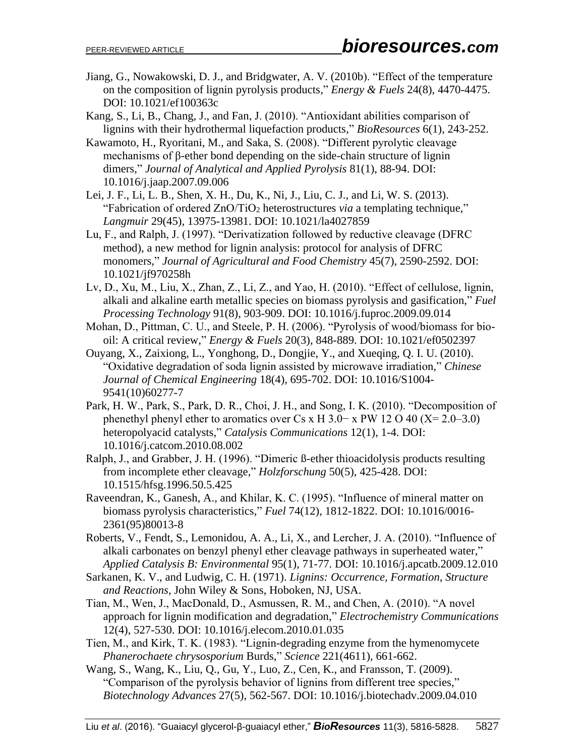Jiang, G., Nowakowski, D. J., and Bridgwater, A. V. (2010b). "Effect of the temperature on the composition of lignin pyrolysis products," *Energy & Fuels* 24(8), 4470-4475. DOI: 10.1021/ef100363c

Kang, S., Li, B., Chang, J., and Fan, J. (2010). "Antioxidant abilities comparison of lignins with their hydrothermal liquefaction products," *BioResources* 6(1), 243-252.

- Kawamoto, H., Ryoritani, M., and Saka, S. (2008). "Different pyrolytic cleavage mechanisms of β-ether bond depending on the side-chain structure of lignin dimers," *Journal of Analytical and Applied Pyrolysis* 81(1), 88-94. DOI: 10.1016/j.jaap.2007.09.006
- Lei, J. F., Li, L. B., Shen, X. H., Du, K., Ni, J., Liu, C. J., and Li, W. S. (2013). "Fabrication of ordered ZnO/TiO<sup>2</sup> heterostructures *via* a templating technique," *Langmuir* 29(45), 13975-13981. DOI: 10.1021/la4027859
- Lu, F., and Ralph, J. (1997). "Derivatization followed by reductive cleavage (DFRC method), a new method for lignin analysis: protocol for analysis of DFRC monomers," *Journal of Agricultural and Food Chemistry* 45(7), 2590-2592. DOI: 10.1021/jf970258h
- Lv, D., Xu, M., Liu, X., Zhan, Z., Li, Z., and Yao, H. (2010). "Effect of cellulose, lignin, alkali and alkaline earth metallic species on biomass pyrolysis and gasification," *Fuel Processing Technology* 91(8), 903-909. DOI: 10.1016/j.fuproc.2009.09.014
- Mohan, D., Pittman, C. U., and Steele, P. H. (2006). "Pyrolysis of wood/biomass for biooil: A critical review," *Energy & Fuels* 20(3), 848-889. DOI: 10.1021/ef0502397
- Ouyang, X., Zaixiong, L., Yonghong, D., Dongjie, Y., and Xueqing, Q. I. U. (2010). "Oxidative degradation of soda lignin assisted by microwave irradiation," *Chinese Journal of Chemical Engineering* 18(4), 695-702. DOI: 10.1016/S1004- 9541(10)60277-7
- Park, H. W., Park, S., Park, D. R., Choi, J. H., and Song, I. K. (2010). "Decomposition of phenethyl phenyl ether to aromatics over Cs x H 3.0− x PW 12 O 40 (X= 2.0–3.0) heteropolyacid catalysts," *Catalysis Communications* 12(1), 1-4. DOI: 10.1016/j.catcom.2010.08.002
- Ralph, J., and Grabber, J. H. (1996). "Dimeric ß-ether thioacidolysis products resulting from incomplete ether cleavage," *Holzforschung* 50(5), 425-428. DOI: 10.1515/hfsg.1996.50.5.425
- Raveendran, K., Ganesh, A., and Khilar, K. C. (1995). "Influence of mineral matter on biomass pyrolysis characteristics," *Fuel* 74(12), 1812-1822. DOI: 10.1016/0016- 2361(95)80013-8
- Roberts, V., Fendt, S., Lemonidou, A. A., Li, X., and Lercher, J. A. (2010). "Influence of alkali carbonates on benzyl phenyl ether cleavage pathways in superheated water," *Applied Catalysis B: Environmental* 95(1), 71-77. DOI: 10.1016/j.apcatb.2009.12.010
- Sarkanen, K. V., and Ludwig, C. H. (1971). *Lignins: Occurrence, Formation, Structure and Reactions*, John Wiley & Sons, Hoboken, NJ, USA.
- Tian, M., Wen, J., MacDonald, D., Asmussen, R. M., and Chen, A. (2010). "A novel approach for lignin modification and degradation," *Electrochemistry Communications* 12(4), 527-530. DOI: 10.1016/j.elecom.2010.01.035
- Tien, M., and Kirk, T. K. (1983). "Lignin-degrading enzyme from the hymenomycete *Phanerochaete chrysosporium* Burds," *Science* 221(4611), 661-662.

Wang, S., Wang, K., Liu, Q., Gu, Y., Luo, Z., Cen, K., and Fransson, T. (2009). "Comparison of the pyrolysis behavior of lignins from different tree species," *Biotechnology Advances* 27(5), 562-567. DOI: 10.1016/j.biotechadv.2009.04.010